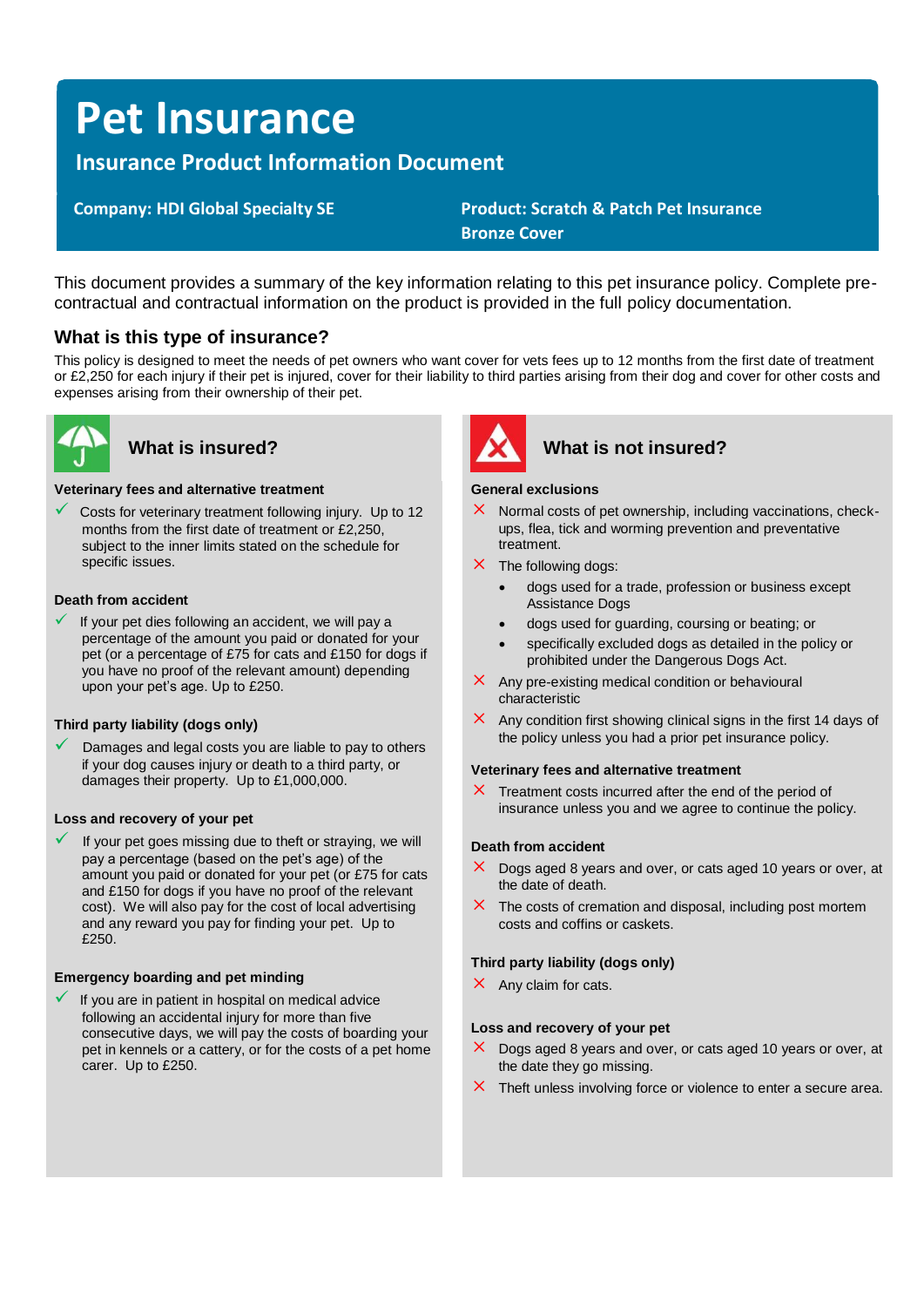# **Pet Insurance**

# **Insurance Product Information Document**

 **Company: HDI Global Specialty SE Product: Scratch & Patch Pet Insurance Bronze Cover**

This document provides a summary of the key information relating to this pet insurance policy. Complete precontractual and contractual information on the product is provided in the full policy documentation.

# **What is this type of insurance?**

This policy is designed to meet the needs of pet owners who want cover for vets fees up to 12 months from the first date of treatment or £2,250 for each injury if their pet is injured, cover for their liability to third parties arising from their dog and cover for other costs and expenses arising from their ownership of their pet.



#### **Veterinary fees and alternative treatment**

 $\checkmark$  Costs for veterinary treatment following injury. Up to 12 months from the first date of treatment or £2,250, subject to the inner limits stated on the schedule for specific issues.

#### **Death from accident**

If your pet dies following an accident, we will pay a percentage of the amount you paid or donated for your pet (or a percentage of £75 for cats and £150 for dogs if you have no proof of the relevant amount) depending upon your pet's age. Up to £250.

### **Third party liability (dogs only)**

Damages and legal costs you are liable to pay to others if your dog causes injury or death to a third party, or damages their property. Up to £1,000,000.

#### **Loss and recovery of your pet**

If your pet goes missing due to theft or straying, we will pay a percentage (based on the pet's age) of the amount you paid or donated for your pet (or £75 for cats and £150 for dogs if you have no proof of the relevant cost). We will also pay for the cost of local advertising and any reward you pay for finding your pet. Up to £250.

#### **Emergency boarding and pet minding**

 $\checkmark$  If you are in patient in hospital on medical advice following an accidental injury for more than five consecutive days, we will pay the costs of boarding your pet in kennels or a cattery, or for the costs of a pet home carer. Up to £250.



# **What is insured? What is not insured?**

#### **General exclusions**

- $\times$  Normal costs of pet ownership, including vaccinations, checkups, flea, tick and worming prevention and preventative treatment.
- $\times$  The following dogs:
	- dogs used for a trade, profession or business except Assistance Dogs
	- dogs used for guarding, coursing or beating; or
	- specifically excluded dogs as detailed in the policy or prohibited under the Dangerous Dogs Act.
- $\times$  Any pre-existing medical condition or behavioural characteristic
- $\times$  Any condition first showing clinical signs in the first 14 days of the policy unless you had a prior pet insurance policy.

#### **Veterinary fees and alternative treatment**

 $\times$  Treatment costs incurred after the end of the period of insurance unless you and we agree to continue the policy.

#### **Death from accident**

- $\times$  Dogs aged 8 years and over, or cats aged 10 years or over, at the date of death.
- $\times$  The costs of cremation and disposal, including post mortem costs and coffins or caskets.

#### **Third party liability (dogs only)**

 $\times$  Any claim for cats.

#### **Loss and recovery of your pet**

- $\times$  Dogs aged 8 years and over, or cats aged 10 years or over, at the date they go missing.
- $\times$  Theft unless involving force or violence to enter a secure area.